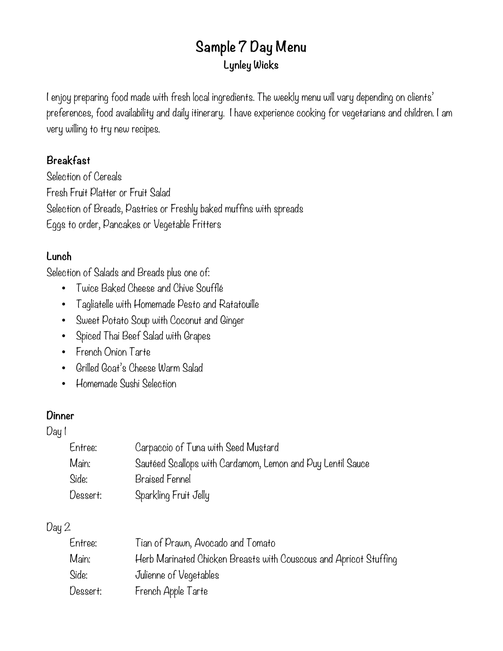### **Sample 7 Day Menu Lynley Wicks**

I enjoy preparing food made with fresh local ingredients. The weekly menu will vary depending on clients' preferences, food availability and daily itinerary. I have experience cooking for vegetarians and children. I am very willing to try new recipes.

#### **Breakfast**

Selection of Cereals Fresh Fruit Platter or Fruit Salad Selection of Breads, Pastries or Freshly baked muffins with spreads Eggs to order, Pancakes or Vegetable Fritters

#### **Lunch**

Selection of Salads and Breads plus one of:

- Twice Baked Cheese and Chive Soufflé
- Tagliatelle with Homemade Pesto and Ratatouille
- Sweet Potato Soup with Coconut and Ginger
- Spiced Thai Beef Salad with Grapes
- French Onion Tarte
- Grilled Goat's Cheese Warm Salad
- Homemade Sushi Selection

#### **Dinner**

Day 1

| Entree:  | Carpaccio of Tuna with Seed Mustard                        |
|----------|------------------------------------------------------------|
| Main:    | Sautéed Scallops with Cardamom, Lemon and Puy Lentil Sauce |
| Side:    | Braised Fennel                                             |
| Dessert: | Sparkling Fruit Jelly                                      |

#### Day 2

| Entree:  | Tian of Prawn, Avocado and Tomato                                 |
|----------|-------------------------------------------------------------------|
| Main:    | Herb Marinated Chicken Breasts with Couscous and Apricot Stuffing |
| Side:    | Julienne of Vegetables                                            |
| Dessert: | French Apple Tarte                                                |